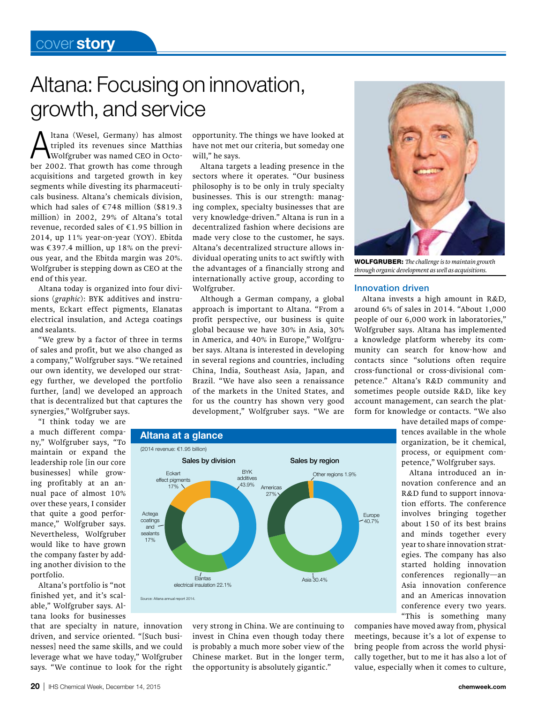## Altana: Focusing on innovation, growth, and service

Altana (Wesel, Germany) has almost<br>tripled its revenues since Matthias<br>Wolfgruber was named CEO in Octotripled its revenues since Matthias ber 2002. That growth has come through acquisitions and targeted growth in key segments while divesting its pharmaceuticals business. Altana's chemicals division, which had sales of €748 million (\$819.3 million) in 2002, 29% of Altana's total revenue, recorded sales of €1.95 billion in 2014, up 11% year-on-year (YOY). Ebitda was  $\text{\textsterling}397.4$  million, up 18% on the previous year, and the Ebitda margin was 20%. Wolfgruber is stepping down as CEO at the end of this year.

Altana today is organized into four divisions (*graphic*): BYK additives and instruments, Eckart effect pigments, Elanatas electrical insulation, and Actega coatings and sealants.

"We grew by a factor of three in terms of sales and profit, but we also changed as a company," Wolfgruber says. "We retained our own identity, we developed our strategy further, we developed the portfolio further, [and] we developed an approach that is decentralized but that captures the synergies," Wolfgruber says.

"I think today we are

a much different company," Wolfgruber says, "To maintain or expand the leadership role [in our core businesses] while growing profitably at an annual pace of almost 10% over these years, I consider that quite a good performance," Wolfgruber says. Nevertheless, Wolfgruber would like to have grown the company faster by adding another division to the portfolio.

Altana's portfolio is "not finished yet, and it's scalable," Wolfgruber says. Altana looks for businesses

that are specialty in nature, innovation driven, and service oriented. "[Such businesses] need the same skills, and we could leverage what we have today," Wolfgruber says. "We continue to look for the right

opportunity. The things we have looked at have not met our criteria, but someday one will," he says.

Altana targets a leading presence in the sectors where it operates. "Our business philosophy is to be only in truly specialty businesses. This is our strength: managing complex, specialty businesses that are very knowledge-driven." Altana is run in a decentralized fashion where decisions are made very close to the customer, he says. Altana's decentralized structure allows individual operating units to act swiftly with the advantages of a financially strong and internationally active group, according to Wolfgruber.

Although a German company, a global approach is important to Altana. "From a profit perspective, our business is quite global because we have 30% in Asia, 30% in America, and 40% in Europe," Wolfgruber says. Altana is interested in developing in several regions and countries, including China, India, Southeast Asia, Japan, and Brazil. "We have also seen a renaissance of the markets in the United States, and for us the country has shown very good development," Wolfgruber says. "We are



WOLFGRUBER: The challenge is to maintain growth *through organic development as well as acquisitions.*

## Innovation driven

Altana invests a high amount in R&D, around 6% of sales in 2014. "About 1,000 people of our 6,000 work in laboratories," Wolfgruber says. Altana has implemented a knowledge platform whereby its community can search for know-how and contacts since "solutions often require cross-functional or cross-divisional competence." Altana's R&D community and sometimes people outside R&D, like key account management, can search the platform for knowledge or contacts. "We also



very strong in China. We are continuing to invest in China even though today there is probably a much more sober view of the Chinese market. But in the longer term, the opportunity is absolutely gigantic."

have detailed maps of competences available in the whole organization, be it chemical, process, or equipment competence," Wolfgruber says.

Altana introduced an innovation conference and an R&D fund to support innovation efforts. The conference involves bringing together about 150 of its best brains and minds together every year to share innovation strategies. The company has also started holding innovation conferences regionally—an Asia innovation conference and an Americas innovation conference every two years. "This is something many

companies have moved away from, physical meetings, because it's a lot of expense to bring people from across the world physically together, but to me it has also a lot of value, especially when it comes to culture,